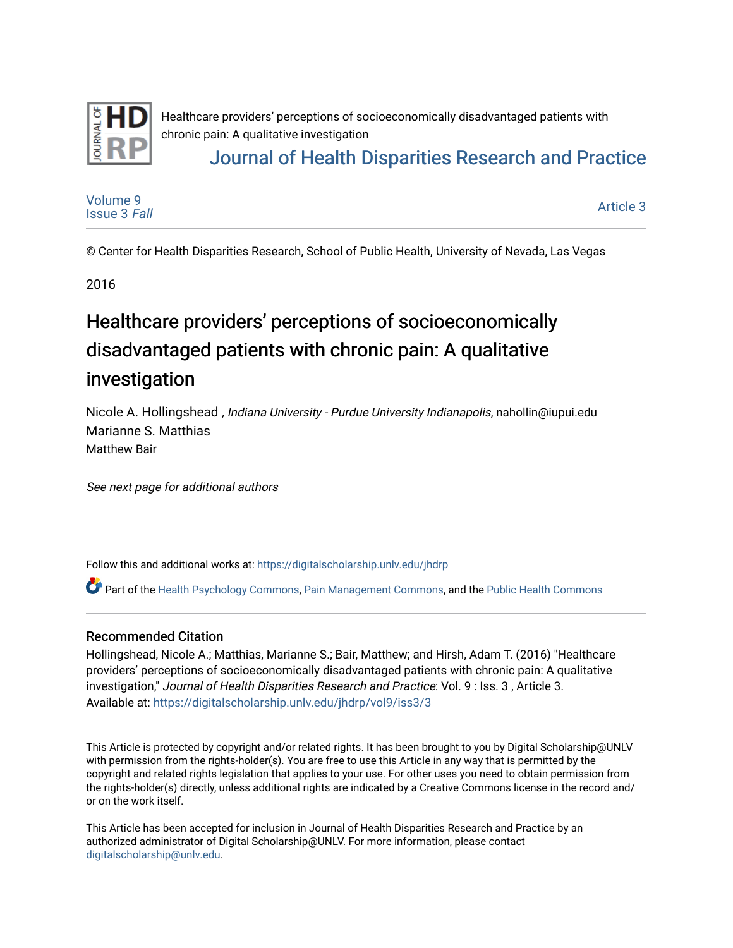

Healthcare providers' perceptions of socioeconomically disadvantaged patients with chronic pain: A qualitative investigation

## [Journal of Health Disparities Research and Practice](https://digitalscholarship.unlv.edu/jhdrp)

[Volume 9](https://digitalscholarship.unlv.edu/jhdrp/vol9) [Issue 3](https://digitalscholarship.unlv.edu/jhdrp/vol9/iss3) Fall

[Article 3](https://digitalscholarship.unlv.edu/jhdrp/vol9/iss3/3) 

© Center for Health Disparities Research, School of Public Health, University of Nevada, Las Vegas

2016

# Healthcare providers' perceptions of socioeconomically disadvantaged patients with chronic pain: A qualitative investigation

Nicole A. Hollingshead , Indiana University - Purdue University Indianapolis, nahollin@iupui.edu Marianne S. Matthias Matthew Bair

See next page for additional authors

Follow this and additional works at: [https://digitalscholarship.unlv.edu/jhdrp](https://digitalscholarship.unlv.edu/jhdrp?utm_source=digitalscholarship.unlv.edu%2Fjhdrp%2Fvol9%2Fiss3%2F3&utm_medium=PDF&utm_campaign=PDFCoverPages) 

**C** Part of the [Health Psychology Commons](http://network.bepress.com/hgg/discipline/411?utm_source=digitalscholarship.unlv.edu%2Fjhdrp%2Fvol9%2Fiss3%2F3&utm_medium=PDF&utm_campaign=PDFCoverPages), [Pain Management Commons,](http://network.bepress.com/hgg/discipline/1274?utm_source=digitalscholarship.unlv.edu%2Fjhdrp%2Fvol9%2Fiss3%2F3&utm_medium=PDF&utm_campaign=PDFCoverPages) and the Public Health Commons

#### Recommended Citation

Hollingshead, Nicole A.; Matthias, Marianne S.; Bair, Matthew; and Hirsh, Adam T. (2016) "Healthcare providers' perceptions of socioeconomically disadvantaged patients with chronic pain: A qualitative investigation," Journal of Health Disparities Research and Practice: Vol. 9 : Iss. 3 , Article 3. Available at: [https://digitalscholarship.unlv.edu/jhdrp/vol9/iss3/3](https://digitalscholarship.unlv.edu/jhdrp/vol9/iss3/3?utm_source=digitalscholarship.unlv.edu%2Fjhdrp%2Fvol9%2Fiss3%2F3&utm_medium=PDF&utm_campaign=PDFCoverPages)

This Article is protected by copyright and/or related rights. It has been brought to you by Digital Scholarship@UNLV with permission from the rights-holder(s). You are free to use this Article in any way that is permitted by the copyright and related rights legislation that applies to your use. For other uses you need to obtain permission from the rights-holder(s) directly, unless additional rights are indicated by a Creative Commons license in the record and/ or on the work itself.

This Article has been accepted for inclusion in Journal of Health Disparities Research and Practice by an authorized administrator of Digital Scholarship@UNLV. For more information, please contact [digitalscholarship@unlv.edu](mailto:digitalscholarship@unlv.edu).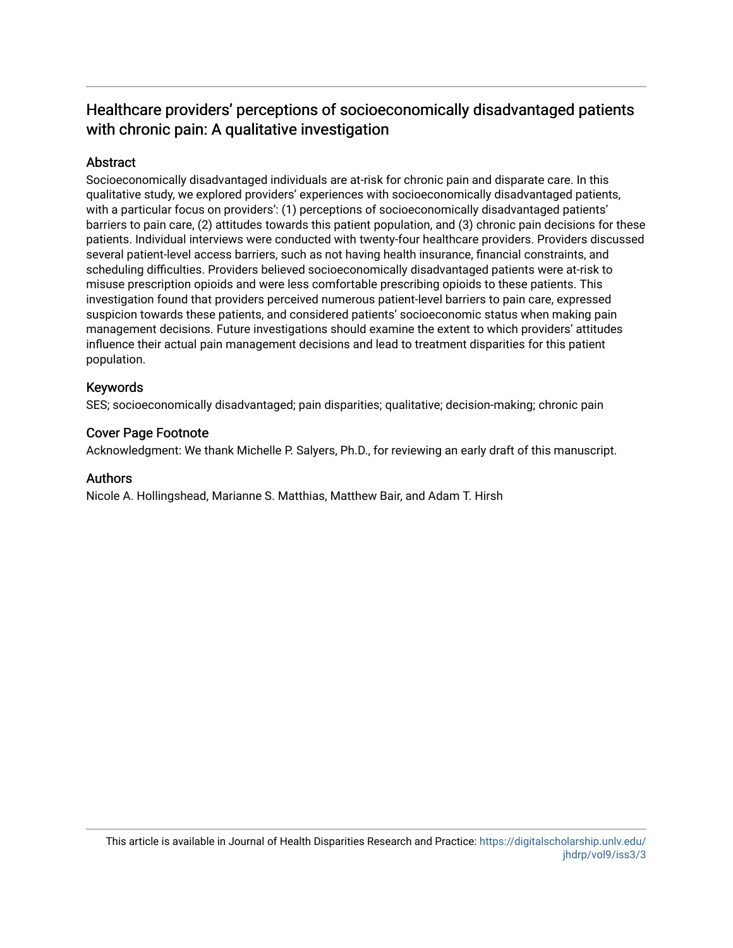### Healthcare providers' perceptions of socioeconomically disadvantaged patients with chronic pain: A qualitative investigation

#### Abstract

Socioeconomically disadvantaged individuals are at-risk for chronic pain and disparate care. In this qualitative study, we explored providers' experiences with socioeconomically disadvantaged patients, with a particular focus on providers': (1) perceptions of socioeconomically disadvantaged patients' barriers to pain care, (2) attitudes towards this patient population, and (3) chronic pain decisions for these patients. Individual interviews were conducted with twenty-four healthcare providers. Providers discussed several patient-level access barriers, such as not having health insurance, financial constraints, and scheduling difficulties. Providers believed socioeconomically disadvantaged patients were at-risk to misuse prescription opioids and were less comfortable prescribing opioids to these patients. This investigation found that providers perceived numerous patient-level barriers to pain care, expressed suspicion towards these patients, and considered patients' socioeconomic status when making pain management decisions. Future investigations should examine the extent to which providers' attitudes influence their actual pain management decisions and lead to treatment disparities for this patient population.

#### Keywords

SES; socioeconomically disadvantaged; pain disparities; qualitative; decision-making; chronic pain

#### Cover Page Footnote

Acknowledgment: We thank Michelle P. Salyers, Ph.D., for reviewing an early draft of this manuscript.

#### Authors

Nicole A. Hollingshead, Marianne S. Matthias, Matthew Bair, and Adam T. Hirsh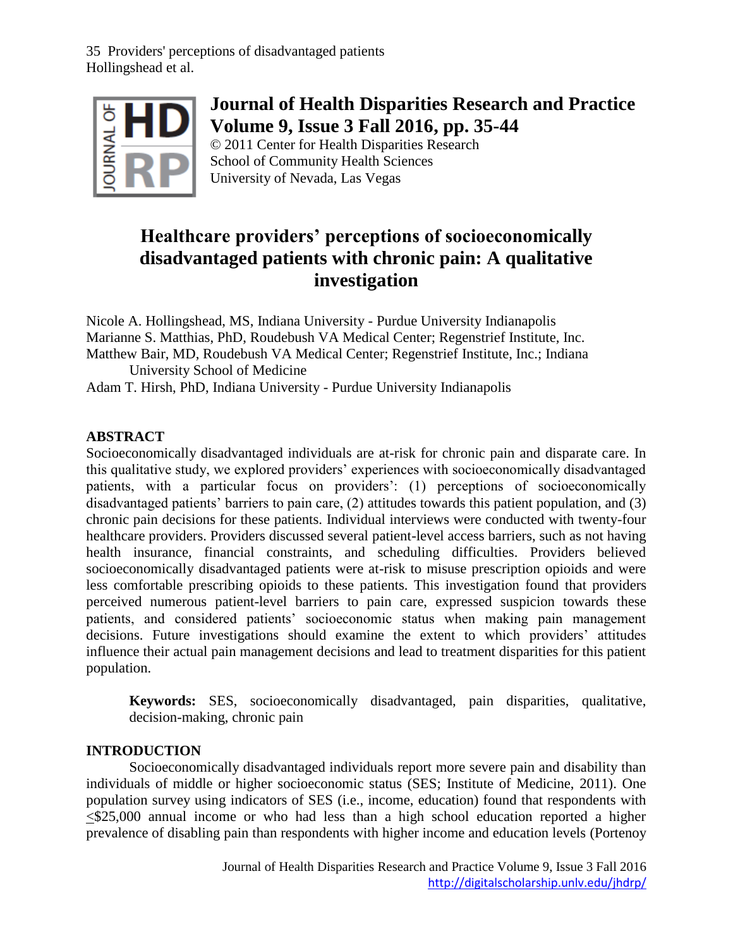

## **Journal of Health Disparities Research and Practice Volume 9, Issue 3 Fall 2016, pp. 35-44**

© 2011 Center for Health Disparities Research School of Community Health Sciences University of Nevada, Las Vegas

## **Healthcare providers' perceptions of socioeconomically disadvantaged patients with chronic pain: A qualitative investigation**

Nicole A. Hollingshead, MS, Indiana University - Purdue University Indianapolis Marianne S. Matthias, PhD, Roudebush VA Medical Center; Regenstrief Institute, Inc. Matthew Bair, MD, Roudebush VA Medical Center; Regenstrief Institute, Inc.; Indiana University School of Medicine

Adam T. Hirsh, PhD, Indiana University - Purdue University Indianapolis

### **ABSTRACT**

Socioeconomically disadvantaged individuals are at-risk for chronic pain and disparate care. In this qualitative study, we explored providers' experiences with socioeconomically disadvantaged patients, with a particular focus on providers': (1) perceptions of socioeconomically disadvantaged patients' barriers to pain care, (2) attitudes towards this patient population, and (3) chronic pain decisions for these patients. Individual interviews were conducted with twenty-four healthcare providers. Providers discussed several patient-level access barriers, such as not having health insurance, financial constraints, and scheduling difficulties. Providers believed socioeconomically disadvantaged patients were at-risk to misuse prescription opioids and were less comfortable prescribing opioids to these patients. This investigation found that providers perceived numerous patient-level barriers to pain care, expressed suspicion towards these patients, and considered patients' socioeconomic status when making pain management decisions. Future investigations should examine the extent to which providers' attitudes influence their actual pain management decisions and lead to treatment disparities for this patient population.

**Keywords:** SES, socioeconomically disadvantaged, pain disparities, qualitative, decision-making, chronic pain

#### **INTRODUCTION**

Socioeconomically disadvantaged individuals report more severe pain and disability than individuals of middle or higher socioeconomic status (SES; Institute of Medicine, 2011). One population survey using indicators of SES (i.e., income, education) found that respondents with  $\leq$ \$25,000 annual income or who had less than a high school education reported a higher prevalence of disabling pain than respondents with higher income and education levels (Portenoy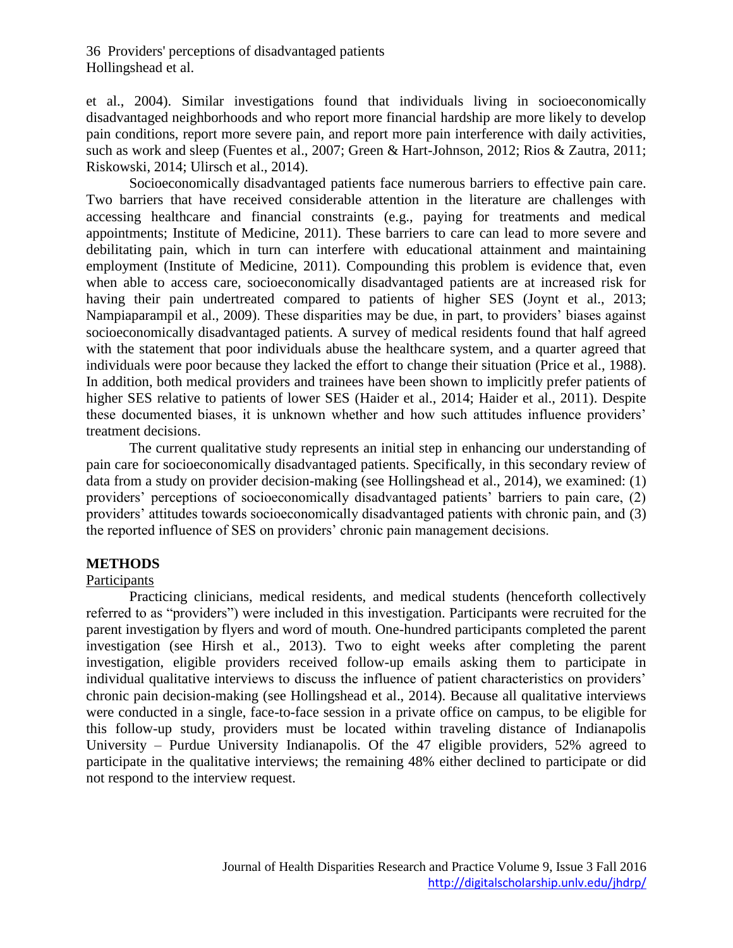et al., 2004). Similar investigations found that individuals living in socioeconomically disadvantaged neighborhoods and who report more financial hardship are more likely to develop pain conditions, report more severe pain, and report more pain interference with daily activities, such as work and sleep (Fuentes et al., 2007; Green & Hart-Johnson, 2012; Rios & Zautra, 2011; Riskowski, 2014; Ulirsch et al., 2014).

Socioeconomically disadvantaged patients face numerous barriers to effective pain care. Two barriers that have received considerable attention in the literature are challenges with accessing healthcare and financial constraints (e.g., paying for treatments and medical appointments; Institute of Medicine, 2011). These barriers to care can lead to more severe and debilitating pain, which in turn can interfere with educational attainment and maintaining employment (Institute of Medicine, 2011). Compounding this problem is evidence that, even when able to access care, socioeconomically disadvantaged patients are at increased risk for having their pain undertreated compared to patients of higher SES (Joynt et al., 2013; Nampiaparampil et al., 2009). These disparities may be due, in part, to providers' biases against socioeconomically disadvantaged patients. A survey of medical residents found that half agreed with the statement that poor individuals abuse the healthcare system, and a quarter agreed that individuals were poor because they lacked the effort to change their situation (Price et al., 1988). In addition, both medical providers and trainees have been shown to implicitly prefer patients of higher SES relative to patients of lower SES (Haider et al., 2014; Haider et al., 2011). Despite these documented biases, it is unknown whether and how such attitudes influence providers' treatment decisions.

The current qualitative study represents an initial step in enhancing our understanding of pain care for socioeconomically disadvantaged patients. Specifically, in this secondary review of data from a study on provider decision-making (see Hollingshead et al., 2014), we examined: (1) providers' perceptions of socioeconomically disadvantaged patients' barriers to pain care, (2) providers' attitudes towards socioeconomically disadvantaged patients with chronic pain, and (3) the reported influence of SES on providers' chronic pain management decisions.

#### **METHODS**

#### Participants

Practicing clinicians, medical residents, and medical students (henceforth collectively referred to as "providers") were included in this investigation. Participants were recruited for the parent investigation by flyers and word of mouth. One-hundred participants completed the parent investigation (see Hirsh et al., 2013). Two to eight weeks after completing the parent investigation, eligible providers received follow-up emails asking them to participate in individual qualitative interviews to discuss the influence of patient characteristics on providers' chronic pain decision-making (see Hollingshead et al., 2014). Because all qualitative interviews were conducted in a single, face-to-face session in a private office on campus, to be eligible for this follow-up study, providers must be located within traveling distance of Indianapolis University – Purdue University Indianapolis. Of the 47 eligible providers, 52% agreed to participate in the qualitative interviews; the remaining 48% either declined to participate or did not respond to the interview request.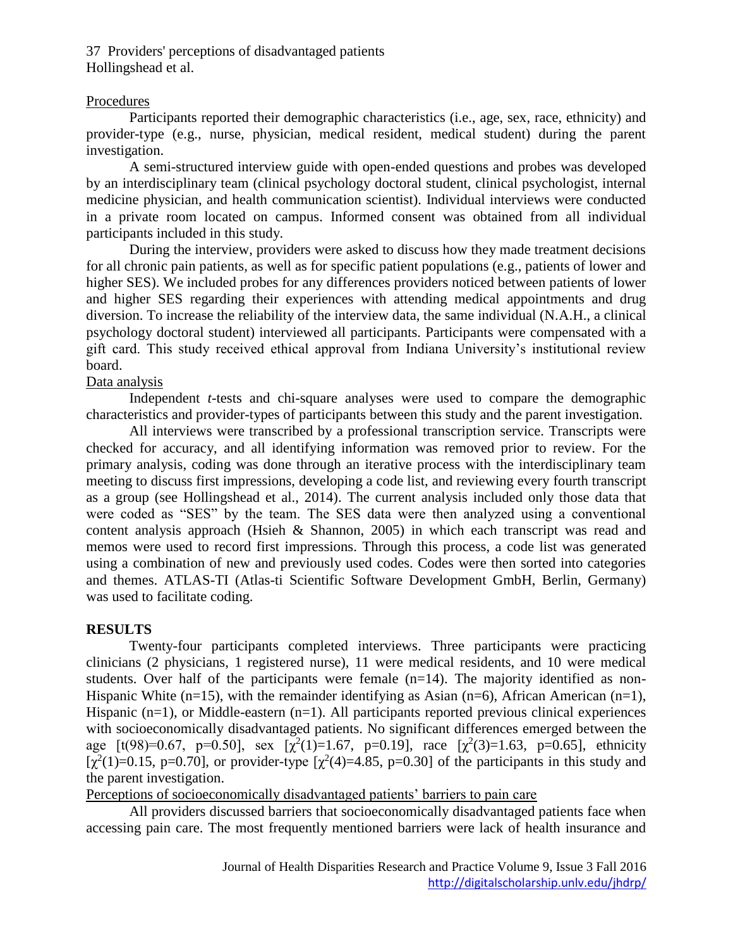#### Procedures

Participants reported their demographic characteristics (i.e., age, sex, race, ethnicity) and provider-type (e.g., nurse, physician, medical resident, medical student) during the parent investigation.

A semi-structured interview guide with open-ended questions and probes was developed by an interdisciplinary team (clinical psychology doctoral student, clinical psychologist, internal medicine physician, and health communication scientist). Individual interviews were conducted in a private room located on campus. Informed consent was obtained from all individual participants included in this study.

During the interview, providers were asked to discuss how they made treatment decisions for all chronic pain patients, as well as for specific patient populations (e.g., patients of lower and higher SES). We included probes for any differences providers noticed between patients of lower and higher SES regarding their experiences with attending medical appointments and drug diversion. To increase the reliability of the interview data, the same individual (N.A.H., a clinical psychology doctoral student) interviewed all participants. Participants were compensated with a gift card. This study received ethical approval from Indiana University's institutional review board.

#### Data analysis

Independent *t-*tests and chi-square analyses were used to compare the demographic characteristics and provider-types of participants between this study and the parent investigation.

All interviews were transcribed by a professional transcription service. Transcripts were checked for accuracy, and all identifying information was removed prior to review. For the primary analysis, coding was done through an iterative process with the interdisciplinary team meeting to discuss first impressions, developing a code list, and reviewing every fourth transcript as a group (see Hollingshead et al., 2014). The current analysis included only those data that were coded as "SES" by the team. The SES data were then analyzed using a conventional content analysis approach (Hsieh & Shannon, 2005) in which each transcript was read and memos were used to record first impressions. Through this process, a code list was generated using a combination of new and previously used codes. Codes were then sorted into categories and themes. ATLAS-TI (Atlas-ti Scientific Software Development GmbH, Berlin, Germany) was used to facilitate coding.

#### **RESULTS**

Twenty-four participants completed interviews. Three participants were practicing clinicians (2 physicians, 1 registered nurse), 11 were medical residents, and 10 were medical students. Over half of the participants were female  $(n=14)$ . The majority identified as non-Hispanic White  $(n=15)$ , with the remainder identifying as Asian  $(n=6)$ , African American  $(n=1)$ , Hispanic  $(n=1)$ , or Middle-eastern  $(n=1)$ . All participants reported previous clinical experiences with socioeconomically disadvantaged patients. No significant differences emerged between the age  $[t(98)=0.67, p=0.50]$ , sex  $[\chi^2(1)=1.67, p=0.19]$ , race  $[\chi^2(3)=1.63, p=0.65]$ , ethnicity [ $\chi^2(1)=0.15$ , p=0.70], or provider-type [ $\chi^2(4)=4.85$ , p=0.30] of the participants in this study and the parent investigation.

Perceptions of socioeconomically disadvantaged patients' barriers to pain care

All providers discussed barriers that socioeconomically disadvantaged patients face when accessing pain care. The most frequently mentioned barriers were lack of health insurance and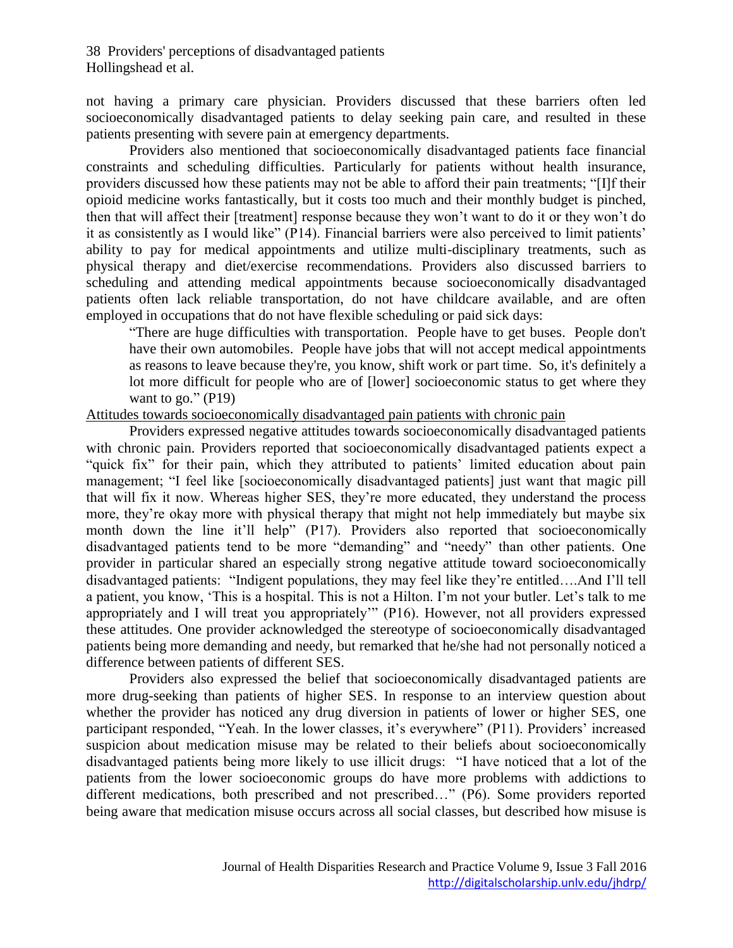not having a primary care physician. Providers discussed that these barriers often led socioeconomically disadvantaged patients to delay seeking pain care, and resulted in these patients presenting with severe pain at emergency departments.

Providers also mentioned that socioeconomically disadvantaged patients face financial constraints and scheduling difficulties. Particularly for patients without health insurance, providers discussed how these patients may not be able to afford their pain treatments; "[I]f their opioid medicine works fantastically, but it costs too much and their monthly budget is pinched, then that will affect their [treatment] response because they won't want to do it or they won't do it as consistently as I would like" (P14). Financial barriers were also perceived to limit patients' ability to pay for medical appointments and utilize multi-disciplinary treatments, such as physical therapy and diet/exercise recommendations. Providers also discussed barriers to scheduling and attending medical appointments because socioeconomically disadvantaged patients often lack reliable transportation, do not have childcare available, and are often employed in occupations that do not have flexible scheduling or paid sick days:

"There are huge difficulties with transportation. People have to get buses. People don't have their own automobiles. People have jobs that will not accept medical appointments as reasons to leave because they're, you know, shift work or part time. So, it's definitely a lot more difficult for people who are of [lower] socioeconomic status to get where they want to go."  $(P19)$ 

#### Attitudes towards socioeconomically disadvantaged pain patients with chronic pain

Providers expressed negative attitudes towards socioeconomically disadvantaged patients with chronic pain. Providers reported that socioeconomically disadvantaged patients expect a "quick fix" for their pain, which they attributed to patients' limited education about pain management; "I feel like [socioeconomically disadvantaged patients] just want that magic pill that will fix it now. Whereas higher SES, they're more educated, they understand the process more, they're okay more with physical therapy that might not help immediately but maybe six month down the line it'll help" (P17). Providers also reported that socioeconomically disadvantaged patients tend to be more "demanding" and "needy" than other patients. One provider in particular shared an especially strong negative attitude toward socioeconomically disadvantaged patients: "Indigent populations, they may feel like they're entitled….And I'll tell a patient, you know, 'This is a hospital. This is not a Hilton. I'm not your butler. Let's talk to me appropriately and I will treat you appropriately'" (P16). However, not all providers expressed these attitudes. One provider acknowledged the stereotype of socioeconomically disadvantaged patients being more demanding and needy, but remarked that he/she had not personally noticed a difference between patients of different SES.

Providers also expressed the belief that socioeconomically disadvantaged patients are more drug-seeking than patients of higher SES. In response to an interview question about whether the provider has noticed any drug diversion in patients of lower or higher SES, one participant responded, "Yeah. In the lower classes, it's everywhere" (P11). Providers' increased suspicion about medication misuse may be related to their beliefs about socioeconomically disadvantaged patients being more likely to use illicit drugs: "I have noticed that a lot of the patients from the lower socioeconomic groups do have more problems with addictions to different medications, both prescribed and not prescribed…" (P6). Some providers reported being aware that medication misuse occurs across all social classes, but described how misuse is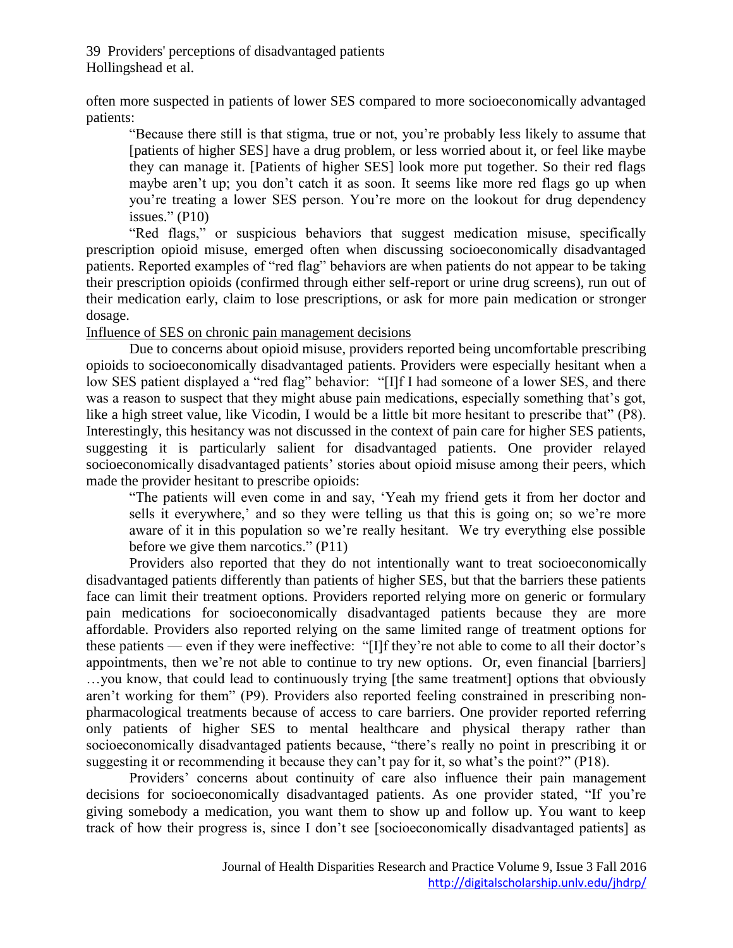often more suspected in patients of lower SES compared to more socioeconomically advantaged patients:

"Because there still is that stigma, true or not, you're probably less likely to assume that [patients of higher SES] have a drug problem, or less worried about it, or feel like maybe they can manage it. [Patients of higher SES] look more put together. So their red flags maybe aren't up; you don't catch it as soon. It seems like more red flags go up when you're treating a lower SES person. You're more on the lookout for drug dependency issues."  $(P10)$ 

"Red flags," or suspicious behaviors that suggest medication misuse, specifically prescription opioid misuse, emerged often when discussing socioeconomically disadvantaged patients. Reported examples of "red flag" behaviors are when patients do not appear to be taking their prescription opioids (confirmed through either self-report or urine drug screens), run out of their medication early, claim to lose prescriptions, or ask for more pain medication or stronger dosage.

Influence of SES on chronic pain management decisions

Due to concerns about opioid misuse, providers reported being uncomfortable prescribing opioids to socioeconomically disadvantaged patients. Providers were especially hesitant when a low SES patient displayed a "red flag" behavior: "[I]f I had someone of a lower SES, and there was a reason to suspect that they might abuse pain medications, especially something that's got, like a high street value, like Vicodin, I would be a little bit more hesitant to prescribe that" (P8). Interestingly, this hesitancy was not discussed in the context of pain care for higher SES patients, suggesting it is particularly salient for disadvantaged patients. One provider relayed socioeconomically disadvantaged patients' stories about opioid misuse among their peers, which made the provider hesitant to prescribe opioids:

"The patients will even come in and say, 'Yeah my friend gets it from her doctor and sells it everywhere,' and so they were telling us that this is going on; so we're more aware of it in this population so we're really hesitant. We try everything else possible before we give them narcotics." (P11)

Providers also reported that they do not intentionally want to treat socioeconomically disadvantaged patients differently than patients of higher SES, but that the barriers these patients face can limit their treatment options. Providers reported relying more on generic or formulary pain medications for socioeconomically disadvantaged patients because they are more affordable. Providers also reported relying on the same limited range of treatment options for these patients — even if they were ineffective: "[I]f they're not able to come to all their doctor's appointments, then we're not able to continue to try new options. Or, even financial [barriers] …you know, that could lead to continuously trying [the same treatment] options that obviously aren't working for them" (P9). Providers also reported feeling constrained in prescribing nonpharmacological treatments because of access to care barriers. One provider reported referring only patients of higher SES to mental healthcare and physical therapy rather than socioeconomically disadvantaged patients because, "there's really no point in prescribing it or suggesting it or recommending it because they can't pay for it, so what's the point?" (P18).

Providers' concerns about continuity of care also influence their pain management decisions for socioeconomically disadvantaged patients. As one provider stated, "If you're giving somebody a medication, you want them to show up and follow up. You want to keep track of how their progress is, since I don't see [socioeconomically disadvantaged patients] as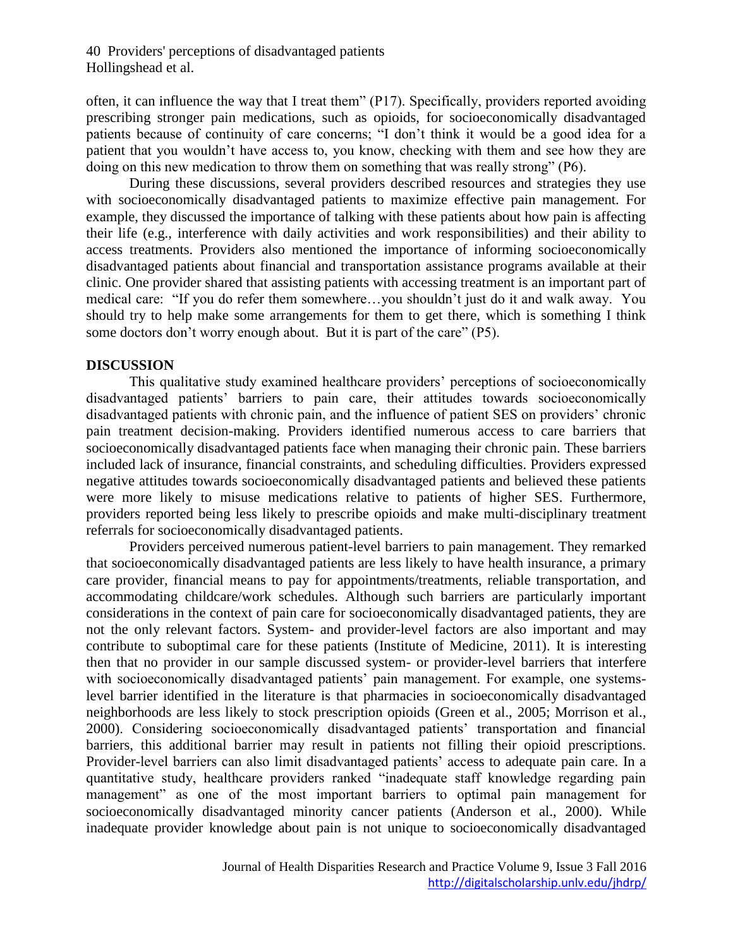often, it can influence the way that I treat them" (P17). Specifically, providers reported avoiding prescribing stronger pain medications, such as opioids, for socioeconomically disadvantaged patients because of continuity of care concerns; "I don't think it would be a good idea for a patient that you wouldn't have access to, you know, checking with them and see how they are doing on this new medication to throw them on something that was really strong" (P6).

During these discussions, several providers described resources and strategies they use with socioeconomically disadvantaged patients to maximize effective pain management. For example, they discussed the importance of talking with these patients about how pain is affecting their life (e.g., interference with daily activities and work responsibilities) and their ability to access treatments. Providers also mentioned the importance of informing socioeconomically disadvantaged patients about financial and transportation assistance programs available at their clinic. One provider shared that assisting patients with accessing treatment is an important part of medical care: "If you do refer them somewhere…you shouldn't just do it and walk away. You should try to help make some arrangements for them to get there, which is something I think some doctors don't worry enough about. But it is part of the care" (P5).

#### **DISCUSSION**

This qualitative study examined healthcare providers' perceptions of socioeconomically disadvantaged patients' barriers to pain care, their attitudes towards socioeconomically disadvantaged patients with chronic pain, and the influence of patient SES on providers' chronic pain treatment decision-making. Providers identified numerous access to care barriers that socioeconomically disadvantaged patients face when managing their chronic pain. These barriers included lack of insurance, financial constraints, and scheduling difficulties. Providers expressed negative attitudes towards socioeconomically disadvantaged patients and believed these patients were more likely to misuse medications relative to patients of higher SES. Furthermore, providers reported being less likely to prescribe opioids and make multi-disciplinary treatment referrals for socioeconomically disadvantaged patients.

Providers perceived numerous patient-level barriers to pain management. They remarked that socioeconomically disadvantaged patients are less likely to have health insurance, a primary care provider, financial means to pay for appointments/treatments, reliable transportation, and accommodating childcare/work schedules. Although such barriers are particularly important considerations in the context of pain care for socioeconomically disadvantaged patients, they are not the only relevant factors. System- and provider-level factors are also important and may contribute to suboptimal care for these patients (Institute of Medicine, 2011). It is interesting then that no provider in our sample discussed system- or provider-level barriers that interfere with socioeconomically disadvantaged patients' pain management. For example, one systemslevel barrier identified in the literature is that pharmacies in socioeconomically disadvantaged neighborhoods are less likely to stock prescription opioids (Green et al., 2005; Morrison et al., 2000). Considering socioeconomically disadvantaged patients' transportation and financial barriers, this additional barrier may result in patients not filling their opioid prescriptions. Provider-level barriers can also limit disadvantaged patients' access to adequate pain care. In a quantitative study, healthcare providers ranked "inadequate staff knowledge regarding pain management" as one of the most important barriers to optimal pain management for socioeconomically disadvantaged minority cancer patients (Anderson et al., 2000). While inadequate provider knowledge about pain is not unique to socioeconomically disadvantaged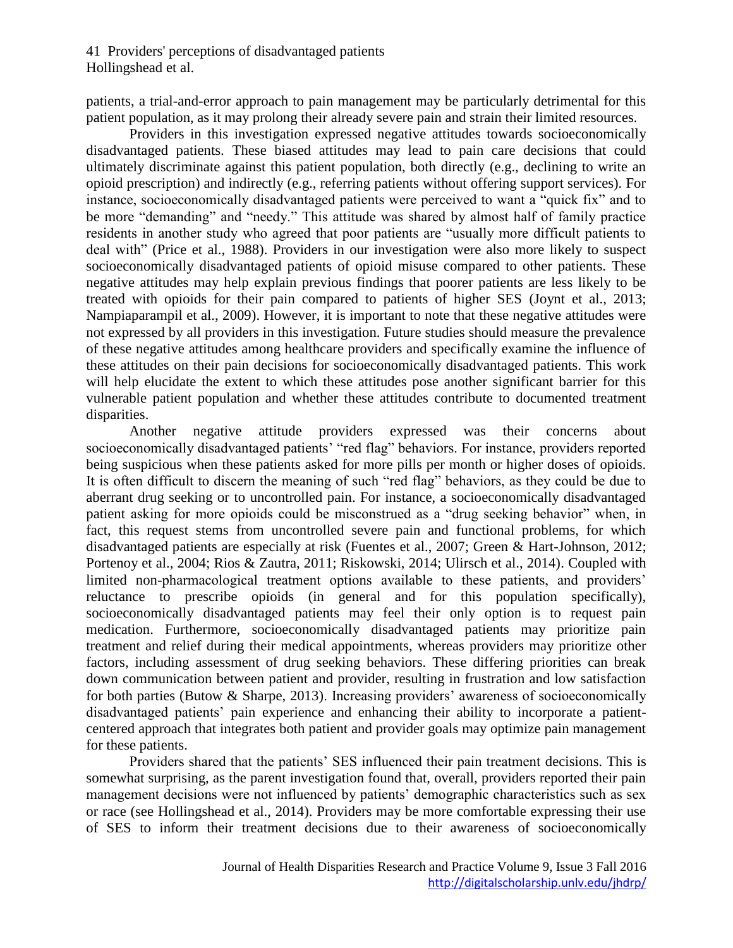patients, a trial-and-error approach to pain management may be particularly detrimental for this patient population, as it may prolong their already severe pain and strain their limited resources.

Providers in this investigation expressed negative attitudes towards socioeconomically disadvantaged patients. These biased attitudes may lead to pain care decisions that could ultimately discriminate against this patient population, both directly (e.g., declining to write an opioid prescription) and indirectly (e.g., referring patients without offering support services). For instance, socioeconomically disadvantaged patients were perceived to want a "quick fix" and to be more "demanding" and "needy." This attitude was shared by almost half of family practice residents in another study who agreed that poor patients are "usually more difficult patients to deal with" (Price et al., 1988). Providers in our investigation were also more likely to suspect socioeconomically disadvantaged patients of opioid misuse compared to other patients. These negative attitudes may help explain previous findings that poorer patients are less likely to be treated with opioids for their pain compared to patients of higher SES (Joynt et al., 2013; Nampiaparampil et al., 2009). However, it is important to note that these negative attitudes were not expressed by all providers in this investigation. Future studies should measure the prevalence of these negative attitudes among healthcare providers and specifically examine the influence of these attitudes on their pain decisions for socioeconomically disadvantaged patients. This work will help elucidate the extent to which these attitudes pose another significant barrier for this vulnerable patient population and whether these attitudes contribute to documented treatment disparities.

Another negative attitude providers expressed was their concerns about socioeconomically disadvantaged patients' "red flag" behaviors. For instance, providers reported being suspicious when these patients asked for more pills per month or higher doses of opioids. It is often difficult to discern the meaning of such "red flag" behaviors, as they could be due to aberrant drug seeking or to uncontrolled pain. For instance, a socioeconomically disadvantaged patient asking for more opioids could be misconstrued as a "drug seeking behavior" when, in fact, this request stems from uncontrolled severe pain and functional problems, for which disadvantaged patients are especially at risk (Fuentes et al., 2007; Green & Hart-Johnson, 2012; Portenoy et al., 2004; Rios & Zautra, 2011; Riskowski, 2014; Ulirsch et al., 2014). Coupled with limited non-pharmacological treatment options available to these patients, and providers' reluctance to prescribe opioids (in general and for this population specifically), socioeconomically disadvantaged patients may feel their only option is to request pain medication. Furthermore, socioeconomically disadvantaged patients may prioritize pain treatment and relief during their medical appointments, whereas providers may prioritize other factors, including assessment of drug seeking behaviors. These differing priorities can break down communication between patient and provider, resulting in frustration and low satisfaction for both parties (Butow & Sharpe, 2013). Increasing providers' awareness of socioeconomically disadvantaged patients' pain experience and enhancing their ability to incorporate a patientcentered approach that integrates both patient and provider goals may optimize pain management for these patients.

Providers shared that the patients' SES influenced their pain treatment decisions. This is somewhat surprising, as the parent investigation found that, overall, providers reported their pain management decisions were not influenced by patients' demographic characteristics such as sex or race (see Hollingshead et al., 2014). Providers may be more comfortable expressing their use of SES to inform their treatment decisions due to their awareness of socioeconomically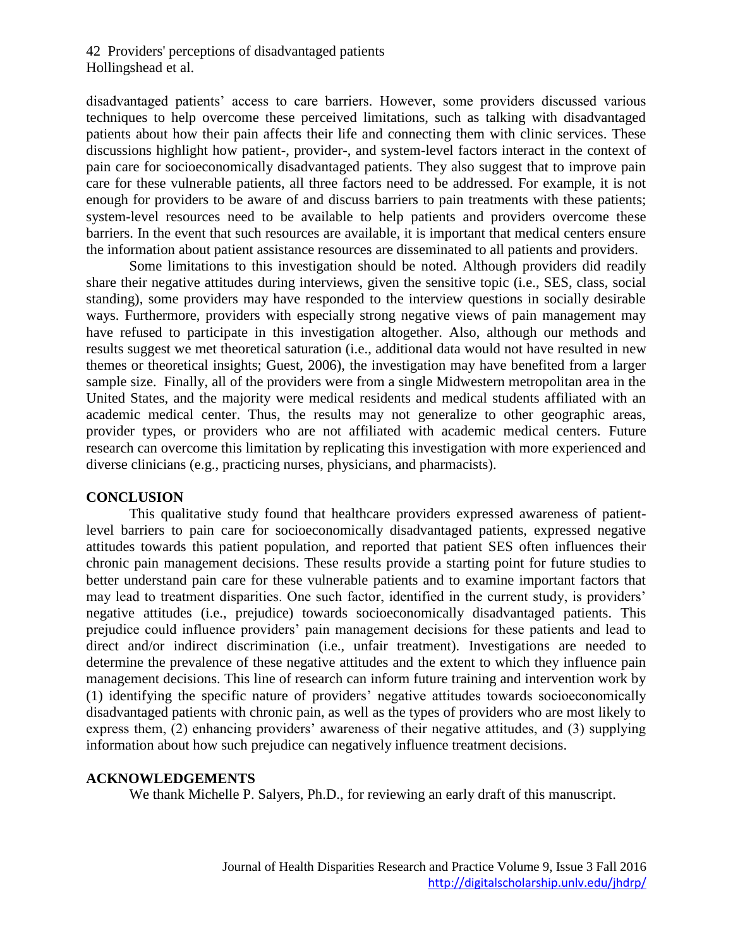disadvantaged patients' access to care barriers. However, some providers discussed various techniques to help overcome these perceived limitations, such as talking with disadvantaged patients about how their pain affects their life and connecting them with clinic services. These discussions highlight how patient-, provider-, and system-level factors interact in the context of pain care for socioeconomically disadvantaged patients. They also suggest that to improve pain care for these vulnerable patients, all three factors need to be addressed. For example, it is not enough for providers to be aware of and discuss barriers to pain treatments with these patients; system-level resources need to be available to help patients and providers overcome these barriers. In the event that such resources are available, it is important that medical centers ensure the information about patient assistance resources are disseminated to all patients and providers.

Some limitations to this investigation should be noted. Although providers did readily share their negative attitudes during interviews, given the sensitive topic (i.e., SES, class, social standing), some providers may have responded to the interview questions in socially desirable ways. Furthermore, providers with especially strong negative views of pain management may have refused to participate in this investigation altogether. Also, although our methods and results suggest we met theoretical saturation (i.e., additional data would not have resulted in new themes or theoretical insights; Guest, 2006), the investigation may have benefited from a larger sample size. Finally, all of the providers were from a single Midwestern metropolitan area in the United States, and the majority were medical residents and medical students affiliated with an academic medical center. Thus, the results may not generalize to other geographic areas, provider types, or providers who are not affiliated with academic medical centers. Future research can overcome this limitation by replicating this investigation with more experienced and diverse clinicians (e.g., practicing nurses, physicians, and pharmacists).

#### **CONCLUSION**

This qualitative study found that healthcare providers expressed awareness of patientlevel barriers to pain care for socioeconomically disadvantaged patients, expressed negative attitudes towards this patient population, and reported that patient SES often influences their chronic pain management decisions. These results provide a starting point for future studies to better understand pain care for these vulnerable patients and to examine important factors that may lead to treatment disparities. One such factor, identified in the current study, is providers' negative attitudes (i.e., prejudice) towards socioeconomically disadvantaged patients. This prejudice could influence providers' pain management decisions for these patients and lead to direct and/or indirect discrimination (i.e., unfair treatment). Investigations are needed to determine the prevalence of these negative attitudes and the extent to which they influence pain management decisions. This line of research can inform future training and intervention work by (1) identifying the specific nature of providers' negative attitudes towards socioeconomically disadvantaged patients with chronic pain, as well as the types of providers who are most likely to express them, (2) enhancing providers' awareness of their negative attitudes, and (3) supplying information about how such prejudice can negatively influence treatment decisions.

#### **ACKNOWLEDGEMENTS**

We thank Michelle P. Salyers, Ph.D., for reviewing an early draft of this manuscript.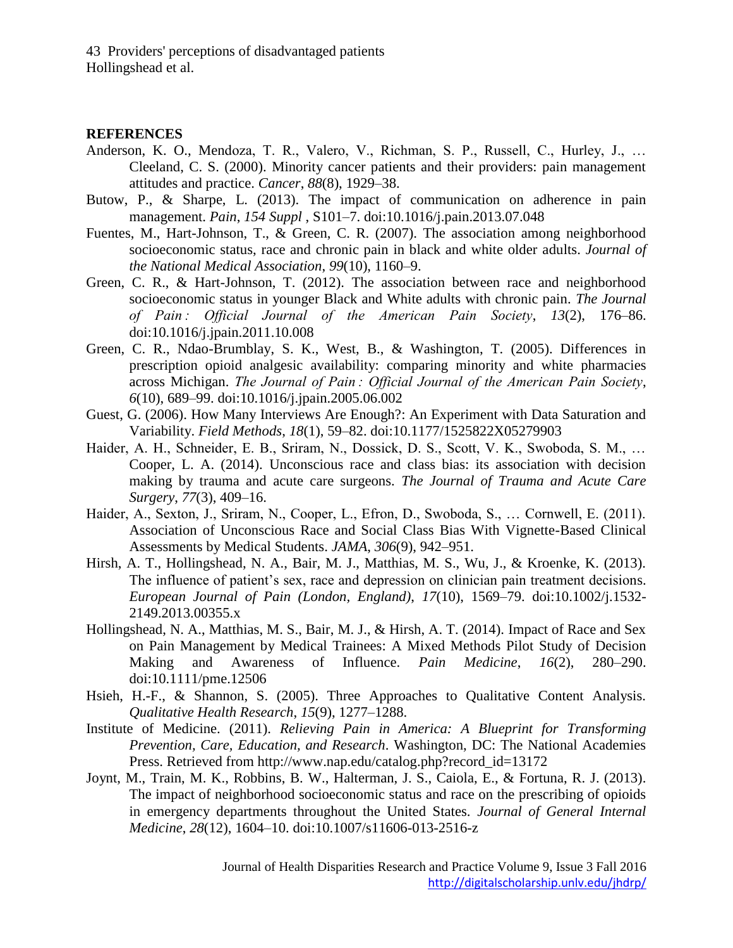#### **REFERENCES**

- Anderson, K. O., Mendoza, T. R., Valero, V., Richman, S. P., Russell, C., Hurley, J., … Cleeland, C. S. (2000). Minority cancer patients and their providers: pain management attitudes and practice. *Cancer*, *88*(8), 1929–38.
- Butow, P., & Sharpe, L. (2013). The impact of communication on adherence in pain management. *Pain*, *154 Suppl* , S101–7. doi:10.1016/j.pain.2013.07.048
- Fuentes, M., Hart-Johnson, T., & Green, C. R. (2007). The association among neighborhood socioeconomic status, race and chronic pain in black and white older adults. *Journal of the National Medical Association*, *99*(10), 1160–9.
- Green, C. R., & Hart-Johnson, T. (2012). The association between race and neighborhood socioeconomic status in younger Black and White adults with chronic pain. *The Journal of Pain : Official Journal of the American Pain Society*, *13*(2), 176–86. doi:10.1016/j.jpain.2011.10.008
- Green, C. R., Ndao-Brumblay, S. K., West, B., & Washington, T. (2005). Differences in prescription opioid analgesic availability: comparing minority and white pharmacies across Michigan. *The Journal of Pain : Official Journal of the American Pain Society*, *6*(10), 689–99. doi:10.1016/j.jpain.2005.06.002
- Guest, G. (2006). How Many Interviews Are Enough?: An Experiment with Data Saturation and Variability. *Field Methods*, *18*(1), 59–82. doi:10.1177/1525822X05279903
- Haider, A. H., Schneider, E. B., Sriram, N., Dossick, D. S., Scott, V. K., Swoboda, S. M., … Cooper, L. A. (2014). Unconscious race and class bias: its association with decision making by trauma and acute care surgeons. *The Journal of Trauma and Acute Care Surgery*, *77*(3), 409–16.
- Haider, A., Sexton, J., Sriram, N., Cooper, L., Efron, D., Swoboda, S., … Cornwell, E. (2011). Association of Unconscious Race and Social Class Bias With Vignette-Based Clinical Assessments by Medical Students. *JAMA*, *306*(9), 942–951.
- Hirsh, A. T., Hollingshead, N. A., Bair, M. J., Matthias, M. S., Wu, J., & Kroenke, K. (2013). The influence of patient's sex, race and depression on clinician pain treatment decisions. *European Journal of Pain (London, England)*, *17*(10), 1569–79. doi:10.1002/j.1532- 2149.2013.00355.x
- Hollingshead, N. A., Matthias, M. S., Bair, M. J., & Hirsh, A. T. (2014). Impact of Race and Sex on Pain Management by Medical Trainees: A Mixed Methods Pilot Study of Decision Making and Awareness of Influence. *Pain Medicine*, *16*(2), 280–290. doi:10.1111/pme.12506
- Hsieh, H.-F., & Shannon, S. (2005). Three Approaches to Qualitative Content Analysis. *Qualitative Health Research*, *15*(9), 1277–1288.
- Institute of Medicine. (2011). *Relieving Pain in America: A Blueprint for Transforming Prevention, Care, Education, and Research*. Washington, DC: The National Academies Press. Retrieved from http://www.nap.edu/catalog.php?record\_id=13172
- Joynt, M., Train, M. K., Robbins, B. W., Halterman, J. S., Caiola, E., & Fortuna, R. J. (2013). The impact of neighborhood socioeconomic status and race on the prescribing of opioids in emergency departments throughout the United States. *Journal of General Internal Medicine*, *28*(12), 1604–10. doi:10.1007/s11606-013-2516-z